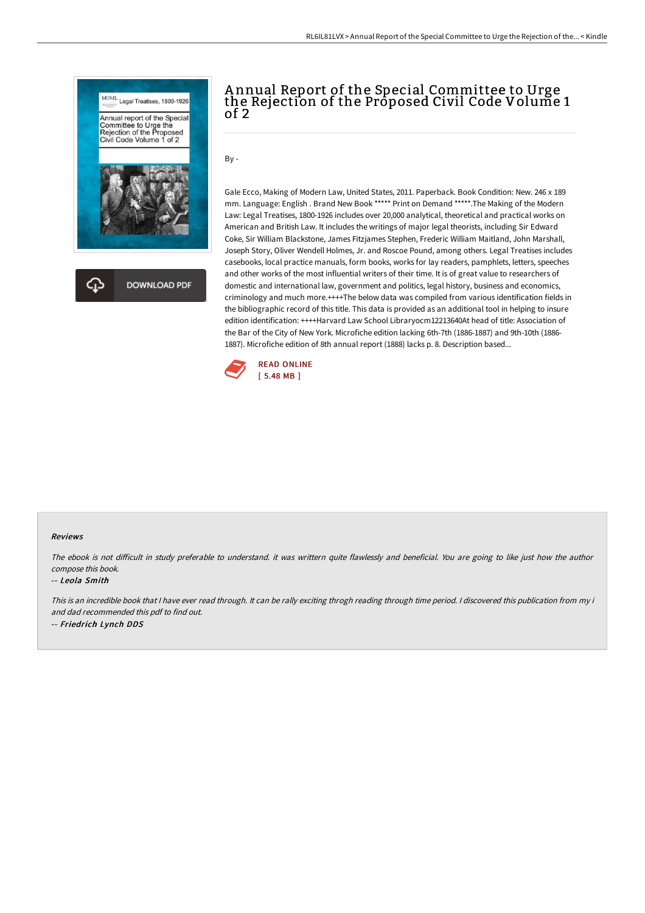

# A nnual Report of the Special Committee to Urge the Rejection of the Proposed Civil Code Volume 1 of 2

By -

Gale Ecco, Making of Modern Law, United States, 2011. Paperback. Book Condition: New. 246 x 189 mm. Language: English . Brand New Book \*\*\*\*\* Print on Demand \*\*\*\*\*.The Making of the Modern Law: Legal Treatises, 1800-1926 includes over 20,000 analytical, theoretical and practical works on American and British Law. It includes the writings of major legal theorists, including Sir Edward Coke, Sir William Blackstone, James Fitzjames Stephen, Frederic William Maitland, John Marshall, Joseph Story, Oliver Wendell Holmes, Jr. and Roscoe Pound, among others. Legal Treatises includes casebooks, local practice manuals, form books, works for lay readers, pamphlets, letters, speeches and other works of the most influential writers of their time. It is of great value to researchers of domestic and international law, government and politics, legal history, business and economics, criminology and much more.++++The below data was compiled from various identification fields in the bibliographic record of this title. This data is provided as an additional tool in helping to insure edition identification: ++++Harvard Law School Libraryocm12213640At head of title: Association of the Bar of the City of New York. Microfiche edition lacking 6th-7th (1886-1887) and 9th-10th (1886- 1887). Microfiche edition of 8th annual report (1888) lacks p. 8. Description based...



### Reviews

The ebook is not difficult in study preferable to understand, it was writtern quite flawlessly and beneficial. You are going to like just how the author compose this book.

#### -- Leola Smith

This is an incredible book that I have ever read through. It can be rally exciting throgh reading through time period. I discovered this publication from my i and dad recommended this pdf to find out. -- Friedrich Lynch DDS